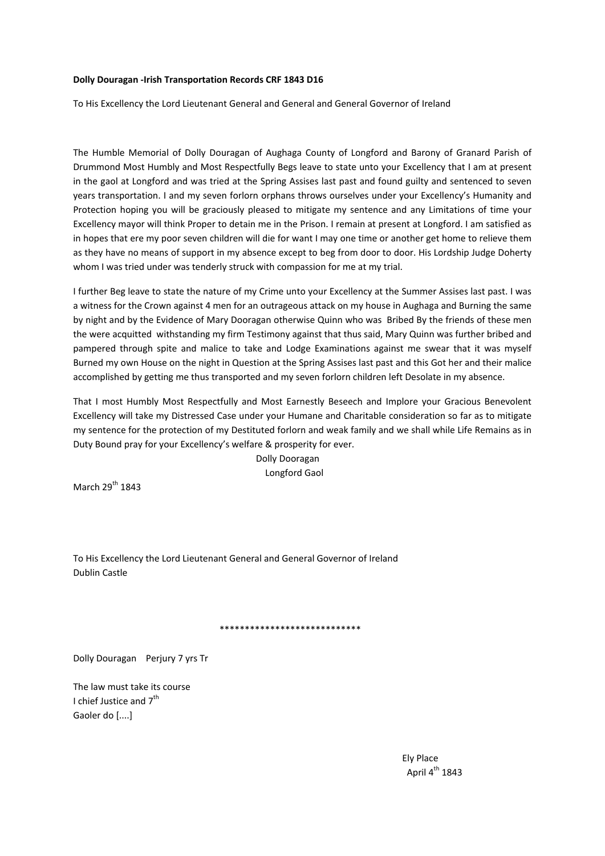## **Dolly Douragan ‐Irish Transportation Records CRF 1843 D16**

To His Excellency the Lord Lieutenant General and General and General Governor of Ireland

The Humble Memorial of Dolly Douragan of Aughaga County of Longford and Barony of Granard Parish of Drummond Most Humbly and Most Respectfully Begs leave to state unto your Excellency that I am at present in the gaol at Longford and was tried at the Spring Assises last past and found guilty and sentenced to seven years transportation. I and my seven forlorn orphans throws ourselves under your Excellency's Humanity and Protection hoping you will be graciously pleased to mitigate my sentence and any Limitations of time your Excellency mayor will think Proper to detain me in the Prison. I remain at present at Longford. I am satisfied as in hopes that ere my poor seven children will die for want I may one time or another get home to relieve them as they have no means of support in my absence except to beg from door to door. His Lordship Judge Doherty whom I was tried under was tenderly struck with compassion for me at my trial.

I further Beg leave to state the nature of my Crime unto your Excellency at the Summer Assises last past. I was a witness for the Crown against 4 men for an outrageous attack on my house in Aughaga and Burning the same by night and by the Evidence of Mary Dooragan otherwise Quinn who was Bribed By the friends of these men the were acquitted withstanding my firm Testimony against that thus said, Mary Quinn was further bribed and pampered through spite and malice to take and Lodge Examinations against me swear that it was myself Burned my own House on the night in Question at the Spring Assises last past and this Got her and their malice accomplished by getting me thus transported and my seven forlorn children left Desolate in my absence.

That I most Humbly Most Respectfully and Most Earnestly Beseech and Implore your Gracious Benevolent Excellency will take my Distressed Case under your Humane and Charitable consideration so far as to mitigate my sentence for the protection of my Destituted forlorn and weak family and we shall while Life Remains as in Duty Bound pray for your Excellency's welfare & prosperity for ever.

> Dolly Dooragan Longford Gaol

March  $29^{th}$  1843

To His Excellency the Lord Lieutenant General and General Governor of Ireland Dublin Castle

## \*\*\*\*\*\*\*\*\*\*\*\*\*\*\*\*\*\*\*\*\*\*\*\*\*\*\*\*

Dolly Douragan Perjury 7 yrs Tr

The law must take its course I chief Justice and 7<sup>th</sup> Gaoler do [....]

 Ely Place April  $4^{th}$  1843